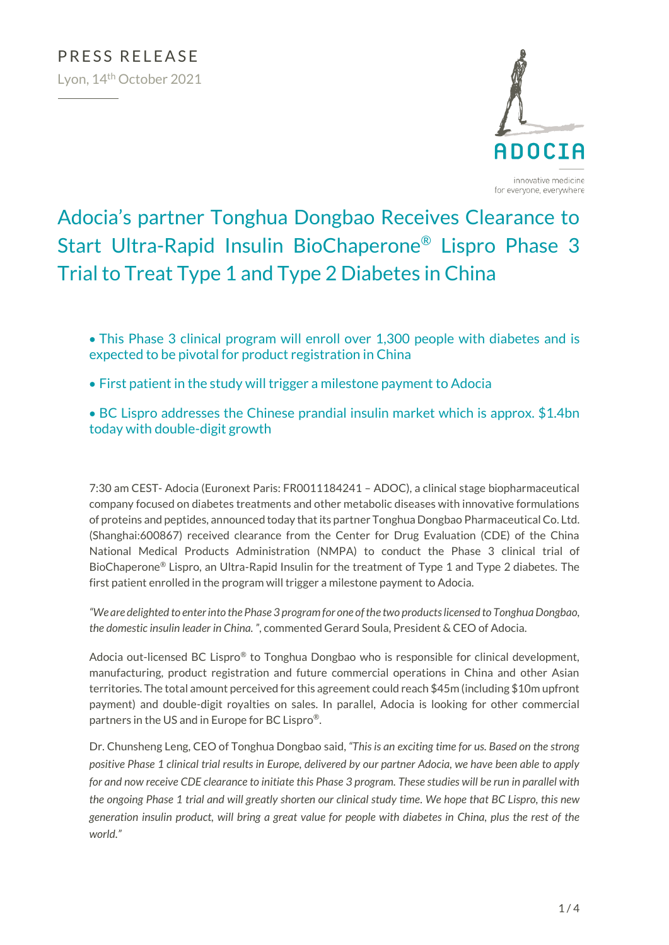

# Adocia's partner Tonghua Dongbao Receives Clearance to Start Ultra-Rapid Insulin BioChaperone® Lispro Phase 3 Trial to Treat Type 1 and Type 2 Diabetes in China

- This Phase 3 clinical program will enroll over 1,300 people with diabetes and is expected to be pivotal for product registration in China
- First patient in the study will trigger a milestone payment to Adocia
- BC Lispro addresses the Chinese prandial insulin market which is approx. \$1.4bn today with double-digit growth

7:30 am CEST- Adocia (Euronext Paris: FR0011184241 – ADOC), a clinical stage biopharmaceutical company focused on diabetes treatments and other metabolic diseases with innovative formulations of proteins and peptides, announced today that its partner Tonghua Dongbao Pharmaceutical Co. Ltd. (Shanghai:600867) received clearance from the Center for Drug Evaluation (CDE) of the China National Medical Products Administration (NMPA) to conduct the Phase 3 clinical trial of BioChaperone® Lispro, an Ultra-Rapid Insulin for the treatment of Type 1 and Type 2 diabetes. The first patient enrolled in the program will trigger a milestone payment to Adocia.

*"We are delighted to enter into the Phase 3 program for one of the two products licensed to Tonghua Dongbao, the domestic insulin leader in China. "*, commented Gerard Soula, President & CEO of Adocia.

Adocia out-licensed BC Lispro® to Tonghua Dongbao who is responsible for clinical development, manufacturing, product registration and future commercial operations in China and other Asian territories. The total amount perceived for this agreement could reach \$45m (including \$10m upfront payment) and double-digit royalties on sales. In parallel, Adocia is looking for other commercial partners in the US and in Europe for BC Lispro®.

Dr. Chunsheng Leng, CEO of Tonghua Dongbao said, *"This is an exciting time for us. Based on the strong positive Phase 1 clinical trial results in Europe, delivered by our partner Adocia, we have been able to apply for and now receive CDE clearance to initiate this Phase 3 program. These studies will be run in parallel with the ongoing Phase 1 trial and will greatly shorten our clinical study time. We hope that BC Lispro, this new generation insulin product, will bring a great value for people with diabetes in China, plus the rest of the world."*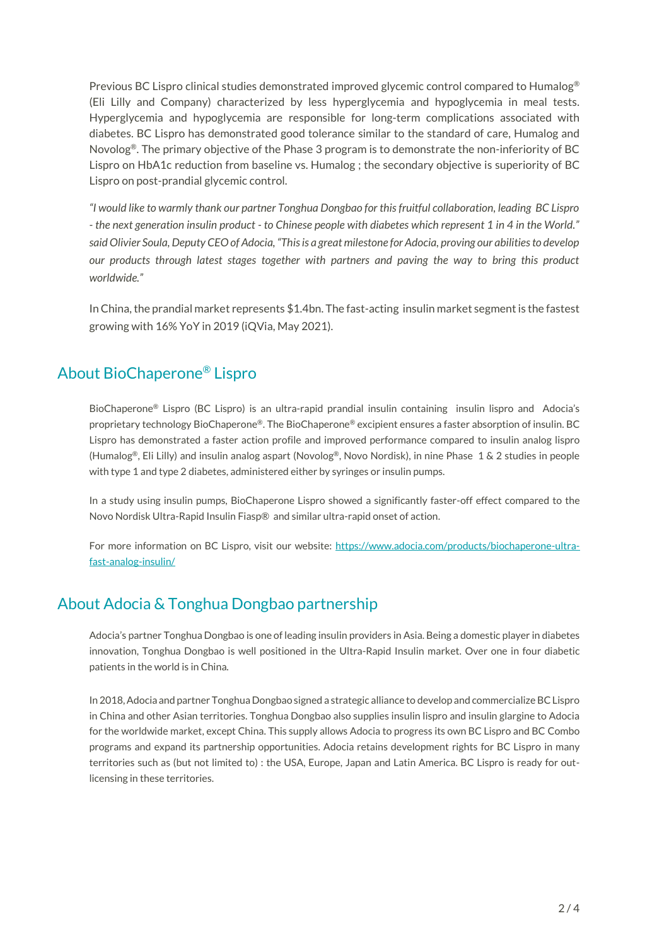Previous BC Lispro clinical studies demonstrated improved glycemic control compared to Humalog<sup>®</sup> (Eli Lilly and Company) characterized by less hyperglycemia and hypoglycemia in meal tests. Hyperglycemia and hypoglycemia are responsible for long-term complications associated with diabetes. BC Lispro has demonstrated good tolerance similar to the standard of care, Humalog and Novolog<sup>®</sup>. The primary objective of the Phase 3 program is to demonstrate the non-inferiority of BC Lispro on HbA1c reduction from baseline vs. Humalog ; the secondary objective is superiority of BC Lispro on post-prandial glycemic control.

*"I would like to warmly thank our partner Tonghua Dongbao for this fruitful collaboration, leading BC Lispro - the next generation insulin product - to Chinese people with diabetes which represent 1 in 4 in the World." said Olivier Soula, Deputy CEO of Adocia, "This is a great milestone for Adocia, proving our abilities to develop our products through latest stages together with partners and paving the way to bring this product worldwide."*

In China, the prandial market represents \$1.4bn. The fast-acting insulin market segment is the fastest growing with 16% YoY in 2019 (iQVia, May 2021).

## About BioChaperone® Lispro

BioChaperone® Lispro (BC Lispro) is an ultra-rapid prandial insulin containing insulin lispro and Adocia's proprietary technology BioChaperone®. The BioChaperone® excipient ensures a faster absorption of insulin. BC Lispro has demonstrated a faster action profile and improved performance compared to insulin analog lispro (Humalog®, Eli Lilly) and insulin analog aspart (Novolog®, Novo Nordisk), in nine Phase 1 & 2 studies in people with type 1 and type 2 diabetes, administered either by syringes or insulin pumps.

In a study using insulin pumps, BioChaperone Lispro showed a significantly faster-off effect compared to the Novo Nordisk Ultra-Rapid Insulin Fiasp® and similar ultra-rapid onset of action.

For more information on BC Lispro, visit our website: [https://www.adocia.com/products/biochaperone-ultra](https://www.adocia.com/products/biochaperone-ultra-fast-analog-insulin/)[fast-analog-insulin/](https://www.adocia.com/products/biochaperone-ultra-fast-analog-insulin/)

## About Adocia & Tonghua Dongbao partnership

Adocia's partner Tonghua Dongbao is one of leading insulin providers in Asia. Being a domestic player in diabetes innovation, Tonghua Dongbao is well positioned in the Ultra-Rapid Insulin market. Over one in four diabetic patients in the world is in China.

In 2018, Adocia and partner Tonghua Dongbao signed a strategic alliance to develop and commercialize BC Lispro in China and other Asian territories. Tonghua Dongbao also supplies insulin lispro and insulin glargine to Adocia for the worldwide market, except China. This supply allows Adocia to progress its own BC Lispro and BC Combo programs and expand its partnership opportunities. Adocia retains development rights for BC Lispro in many territories such as (but not limited to) : the USA, Europe, Japan and Latin America. BC Lispro is ready for outlicensing in these territories.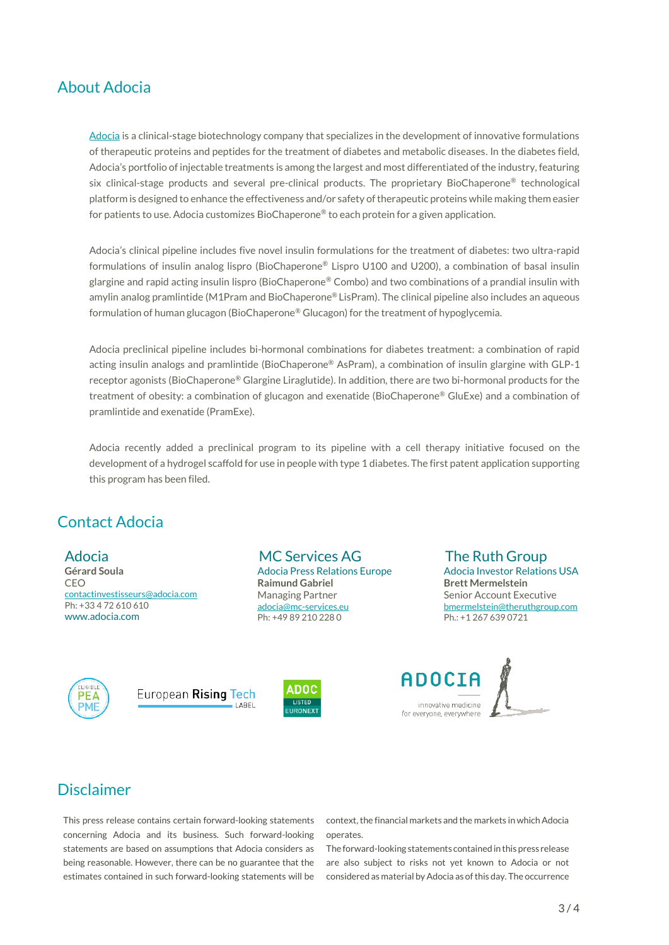### About Adocia

[Adocia](http://www.adocia.com/) is a clinical-stage biotechnology company that specializes in the development of innovative formulations of therapeutic proteins and peptides for the treatment of diabetes and metabolic diseases. In the diabetes field, Adocia's portfolio of injectable treatments is among the largest and most differentiated of the industry, featuring six clinical-stage products and several pre-clinical products. The proprietary BioChaperone® technological platform is designed to enhance the effectiveness and/or safety of therapeutic proteins while making them easier for patients to use. Adocia customizes BioChaperone® to each protein for a given application.

Adocia's clinical pipeline includes five novel insulin formulations for the treatment of diabetes: two ultra-rapid formulations of insulin analog lispro (BioChaperone® Lispro U100 and U200), a combination of basal insulin glargine and rapid acting insulin lispro (BioChaperone® Combo) and two combinations of a prandial insulin with amylin analog pramlintide (M1Pram and BioChaperone® LisPram). The clinical pipeline also includes an aqueous formulation of human glucagon (BioChaperone® Glucagon) for the treatment of hypoglycemia.

Adocia preclinical pipeline includes bi-hormonal combinations for diabetes treatment: a combination of rapid acting insulin analogs and pramlintide (BioChaperone® AsPram), a combination of insulin glargine with GLP-1 receptor agonists (BioChaperone® Glargine Liraglutide). In addition, there are two bi-hormonal products for the treatment of obesity: a combination of glucagon and exenatide (BioChaperone® GluExe) and a combination of pramlintide and exenatide (PramExe).

Adocia recently added a preclinical program to its pipeline with a cell therapy initiative focused on the development of a hydrogel scaffold for use in people with type 1 diabetes. The first patent application supporting this program has been filed.

## Contact Adocia

#### Adocia

**Gérard Soula** CEO [contactinvestisseurs@adocia.com](mailto:contactinvestisseurs@adocia.com) Ph: +33 4 72 610 610 www.adocia.com

MC Services AG Adocia Press Relations Europe **Raimund Gabriel** Managing Partner [adocia@mc-services.eu](mailto:adocia@mc-services.eu)  Ph: +49 89 210 228 0

The Ruth Group Adocia Investor Relations USA **Brett Mermelstein** Senior Account Executive [bmermelstein@theruthgroup.com](mailto:bmermelstein@theruthgroup.com) Ph.: +1 267 639 0721



European Rising Tech LABEL





## Disclaimer

This press release contains certain forward-looking statements concerning Adocia and its business. Such forward-looking statements are based on assumptions that Adocia considers as being reasonable. However, there can be no guarantee that the estimates contained in such forward-looking statements will be

context, the financial markets and the markets in which Adocia operates.

The forward-looking statements contained in this press release are also subject to risks not yet known to Adocia or not considered as material by Adocia as of this day. The occurrence